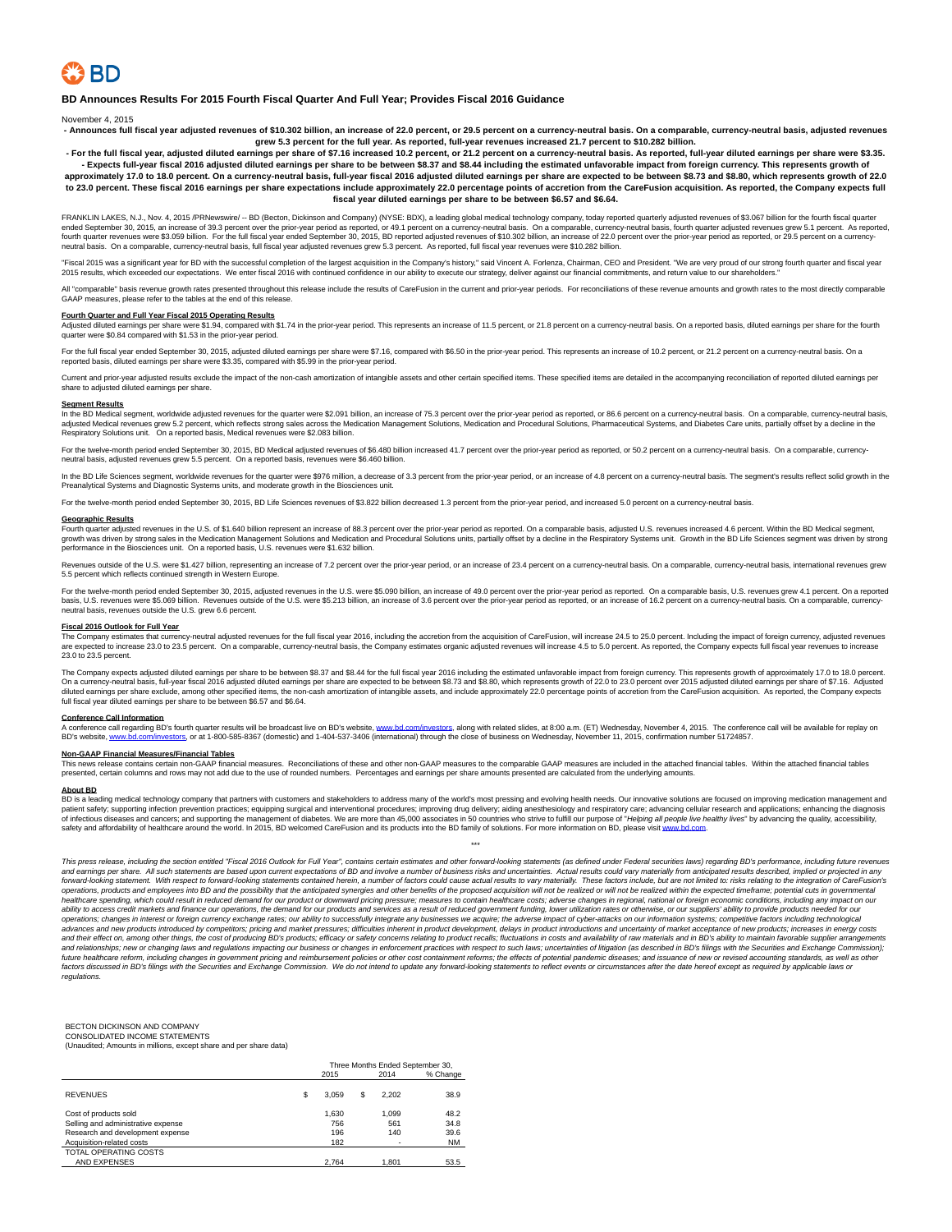**BD Announces Results For 2015 Fourth Fiscal Quarter And Full Year; Provides Fiscal 2016 Guidance**

November 4, 2015

Announces full fiscal year adjusted revenues of \$10.302 billion, an increase of 22.0 percent, or 29.5 percent on a currency-neutral basis. On a comparable, currency-neutral basis, adjusted revenu grew 5.3 percent for the full year. As reported, full-year revenues increased 21.7 percent to \$10.282 billion.<br>For the full fiscal year, adjusted diluted earnings per share of \$7.16 increased 10.2 percent, or 21.2 percent

**- Expects full-year fiscal 2016 adjusted diluted earnings per share to be between \$8.37 and \$8.44 including the estimated unfavorable impact from foreign currency. This represents growth of approximately 17.0 to 18.0 percent. On a currency-neutral basis, full-year fiscal 2016 adjusted diluted earnings per share are expected to be between \$8.73 and \$8.80, which represents growth of 22.0 to 23.0 percent. These fiscal 2016 earnings per share expectations include approximately 22.0 percentage points of accretion from the CareFusion acquisition. As reported, the Company expects full fiscal year diluted earnings per share to be between \$6.57 and \$6.64.**

FRANKLIN LAKES, N.J., Nov. 4, 2015 /PRNewswire/ -- BD (Becton, Dickinson and Company) (NYSE: BDX), a leading global medical technology company, today reported quarterly adjusted revenues of \$3.067 billion for the fourth f neutral basis. On a comparable, currency-neutral basis, full fiscal year adjusted revenues grew 5.3 percent. As reported, full fiscal year revenues were \$10.282 billion.

cal 2015 was a significant year for BD with the successful completion of the largest acquisition in the Company's history," said Vincent A. Forlenza, Chairman, CEO and President. "We are very proud of our strong fourth qua 2015 results, which exceeded our expectations. We enter fiscal 2016 with continued confidence in our ability to execute our strategy, deliver against our financial commitments, and return value to our shareholders."

All "comparable" basis revenue growth rates presented throughout this release include the results of CareFusion in the current and prior-year periods. For reconciliations of these revenue amounts and growth rates to the mo

Fourth Quarter and Full Year Fiscal 2015 Operating Results<br>Adjusted diluted earnings per share were \$1.94, compared with \$1.74 in the prior-year period. This represents an increase of 11.5 percent, or 21.8 percent on a cur quarter were \$0.84 compared with \$1.53 in the prior-year period.

For the full fiscal year ended September 30, 2015, adjusted diluted earnings per share were \$7.16, compared with \$6.50 in the prior-year period. This represents an increase of 10.2 percent, or 21.2 percent on a currency-ne

Current and prior-year adjusted results exclude the impact of the non-cash amortization of intangible assets and other certain specified items. These specified items are detailed in the accompanying reconciliation of repor share to adjusted diluted earnings per share.

### **Segment Results**

In the BD Medical segment, worldwide adjusted revenues for the quarter were \$2.091 billion, an increase of 75.3 percent over the prior-year period as reported, or 86.6 percent on a currency-neutral basis. On a comparable, Respiratory Solutions unit. On a reported basis, Medical revenues were \$2.083 billion.

For the twelve-month period ended September 30, 2015, BD Medical adjusted revenues of \$6,480 billion increased 41.7 percent over the prior-year period as reported, or 50.2 percent on a currency-neutral basis. On a comparab neutral basis, adjusted revenues grew 5.5 percent. On a reported basis, revenues were \$6.460 billion.

In the BD Life Sciences segment, worldwide revenues for the quarter were \$976 million, a decrease of 3.3 percent from the prior-year period, or an increase of 4.8 percent on a currency-neutral basis. The segment's results Preanalytical Systems and Diagnostic Systems units, and moderate growth in the Biosciences unit.

For the twelve-month period ended September 30, 2015, BD Life Sciences revenues of \$3.822 billion decreased 1.3 percent from the prior-year period, and increased 5.0 percent on a currency-neutral basis.

### **Geographic Results**

Fourth quarter adjusted revenues in the U.S. of \$1.640 billion represent an increase of 88.3 percent over the prior-year period as reported. On a comparable basis, adjusted U.S. revenues increased 4.6 percent. Within the B performance in the Biosciences unit. On a reported basis, U.S. revenues were \$1.632 billion.

Revenues outside of the U.S. were \$1.427 billion, representing an increase of 7.2 percent over the prior-year period, or an increase of 23.4 percent on a currency-neutral basis. On a comparable, currency-neutral basis, int lects continued strength in W

For the twelve-month period ended September 30, 2015, adjusted revenues in the U.S. were \$5.090 billion, an increase of 49.0 percent over the prior-year period as reported. On a comparable basis, U.S. revenues grew 4.1 per basis, U.S. revenues were \$5.069 billion. Revenues outside of the U.S. were \$5.213 billion, an increase of 3.6 percent over the prior-year period as reported, or an increase of 16.2 percent on a currency-neutral basis. On neutral basis, revenues outside the U.S. grew 6.6 percent.

### **Fiscal 2016 Outlook for Full Year**

The Company estimates that currency-neutral adjusted revenues for the full fiscal year 2016, including the accretion from the acquisition of CareFusion, will increase 24.5 to 25.0 percent. Including the impact of foreign c 23.0 to 23.5 percent.

The Company expects adjusted diluted earnings per share to be between \$8.37 and \$8.44 for the full fiscal year 2016 including the estimated unfavorable impact from foreign currency. This represents growth of approximately full fiscal year diluted earnings per share to be between \$6.57 and \$6.64.

### **Call Information**

A conference call regarding BD's fourth quarter results will be broadcast live on BD's website, [www.bd.com/investors,](http://www.bd.com/investors) along with related slides, at 8:00 a.m. (ET) Wednesday, November 4, 2015. The conference call will be av stors, or at 1-800-585-8367 (domestic) and 1-404-537-3406 (international) through the close of business on Wednesday, November 11, 2015, confirmation number 51724857.

**Non-GAAP Financial Measures/Financial Tables**<br>This news release contains certain non-GAAP financial measures. Reconciliations of these and other non-GAAP measures to the comparable GAAP measures are included in the attach

### **About BD**

BD is a leading medical technology company that partners with customers and stakeholders to address many of the world's most pressing and evolving health needs. Our innovative solutions are focused on improving medication safety and affordability of healthcare around the world. In 2015, BD welcomed CareFusion and its products into the BD family of solutions. For more information on BD, please visit www.bd.co

\*\*\*

This press release, including the section entitled "Fiscal 2016 Outlook for Full Year", contains certain estimates and other forward-looking statements (as defined under Federal securities laws) regarding BD's performance, forward-looking statement. With respect to forward-looking statements contained herein, a number of factors could cause actual results to vary materially. These factors include, but are not limited to: risks relation to th operations, products and employees into BD and the possibility that the anticipated synergies and other benefits of the proposed acquisition will not be realized or will not be realized within the expected timeframe; poten ability to access credit markets and finance our operations, the demand for our products and services as a result of reduced government funding, lower utilization rates or otherwise, or our suppliers' ability to provide pr and their effect on, among other things, the cost of producing BD's products; efficacy or safety concerns relating to product recalls; fluctuations in costs and availability of raw materials and in BD's ability to maintain factors discussed in BD's filings with the Securities and Exchange Commission. We do not intend to update any forward-looking statements to reflect events or circumstances after the date hereof except as required by applic regulations.

### BECTON DICKINSON AND COMP

CONSOLIDATED INCOME STATEMENTS (Unaudited; Amounts in millions, except share and per share data)

|                                    |   | Three Months Ended September 30, |    |       |           |  |  |  |  |  |  |
|------------------------------------|---|----------------------------------|----|-------|-----------|--|--|--|--|--|--|
|                                    |   | 2015                             |    | 2014  | % Change  |  |  |  |  |  |  |
|                                    |   |                                  |    |       |           |  |  |  |  |  |  |
| <b>REVENUES</b>                    | S | 3.059                            | \$ | 2.202 | 38.9      |  |  |  |  |  |  |
|                                    |   |                                  |    |       |           |  |  |  |  |  |  |
| Cost of products sold              |   | 1.630                            |    | 1.099 | 48.2      |  |  |  |  |  |  |
| Selling and administrative expense |   | 756                              |    | 561   | 34.8      |  |  |  |  |  |  |
| Research and development expense   |   | 196                              |    | 140   | 39.6      |  |  |  |  |  |  |
| Acquisition-related costs          |   | 182                              |    | ٠     | <b>NM</b> |  |  |  |  |  |  |
| TOTAL OPERATING COSTS              |   |                                  |    |       |           |  |  |  |  |  |  |
| AND EXPENSES                       |   | 2.764                            |    | 1.801 | 53.5      |  |  |  |  |  |  |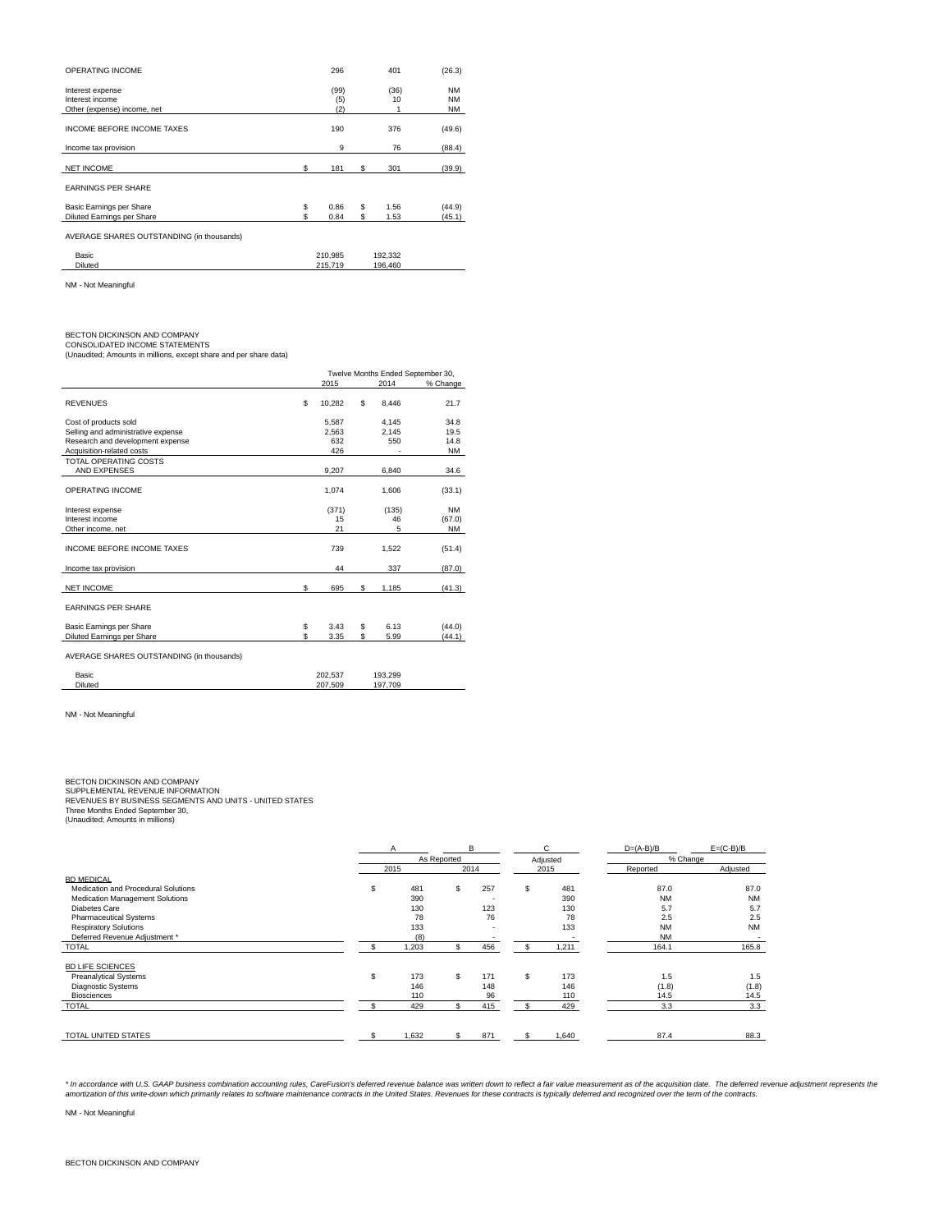| OPERATING INCOME                                                   | 296                |          | 401                | (26.3)                              |
|--------------------------------------------------------------------|--------------------|----------|--------------------|-------------------------------------|
| Interest expense<br>Interest income<br>Other (expense) income, net | (99)<br>(5)<br>(2) |          | (36)<br>10         | <b>NM</b><br><b>NM</b><br><b>NM</b> |
| <b>INCOME BEFORE INCOME TAXES</b>                                  | 190                |          | 376                | (49.6)                              |
| Income tax provision                                               | 9                  |          | 76                 | (88.4)                              |
| <b>NET INCOME</b>                                                  | \$<br>181          | S        | 301                | (39.9)                              |
| <b>EARNINGS PER SHARE</b>                                          |                    |          |                    |                                     |
| Basic Earnings per Share<br>Diluted Earnings per Share             | \$<br>0.86<br>0.84 | \$<br>\$ | 1.56<br>1.53       | (44.9)<br>(45.1)                    |
| AVERAGE SHARES OUTSTANDING (in thousands)                          |                    |          |                    |                                     |
| Basic<br><b>Diluted</b>                                            | 210,985<br>215.719 |          | 192,332<br>196.460 |                                     |

NM - Not Meaningful

BECTON DICKINSON AND COMPANY CONSOLIDATED INCOME STATEMENTS (Unaudited; Amounts in millions, except share and per share data)

|                                           |    | Twelve Months Ended September 30, |             |           |
|-------------------------------------------|----|-----------------------------------|-------------|-----------|
|                                           |    | 2015                              | 2014        | % Change  |
| <b>REVENUES</b>                           | \$ | 10,282                            | \$<br>8,446 | 21.7      |
| Cost of products sold                     |    | 5.587                             | 4.145       | 34.8      |
| Selling and administrative expense        |    | 2.563                             | 2,145       | 19.5      |
| Research and development expense          |    | 632                               | 550         | 14.8      |
| Acquisition-related costs                 |    | 426                               |             | <b>NM</b> |
| TOTAL OPERATING COSTS                     |    |                                   |             |           |
| AND EXPENSES                              |    | 9,207                             | 6,840       | 34.6      |
| OPERATING INCOME                          |    | 1.074                             | 1,606       | (33.1)    |
| Interest expense                          |    | (371)                             | (135)       | <b>NM</b> |
| Interest income                           |    | 15                                | 46          | (67.0)    |
| Other income, net                         |    | 21                                | 5           | <b>NM</b> |
| INCOME BEFORE INCOME TAXES                |    | 739                               | 1,522       | (51.4)    |
| Income tax provision                      |    | 44                                | 337         | (87.0)    |
| <b>NET INCOME</b>                         | \$ | 695                               | \$<br>1,185 | (41.3)    |
| <b>EARNINGS PER SHARE</b>                 |    |                                   |             |           |
| Basic Earnings per Share                  | \$ | 3.43                              | \$<br>6.13  | (44.0)    |
| Diluted Earnings per Share                | \$ | 3.35                              | \$<br>5.99  | (44.1)    |
| AVERAGE SHARES OUTSTANDING (in thousands) |    |                                   |             |           |
| Basic                                     |    | 202,537                           | 193,299     |           |
| <b>Diluted</b>                            |    | 207,509                           | 197,709     |           |
|                                           |    |                                   |             |           |

NM - Not Meaningful

## BECTON DICKINSON AND COMPANY

SUPPLEMENTAL REVENUE INFORMATION<br>REVENUES BY BUSINESS SEGMENTS AND UNITS - UNITED STATES<br>Three Months Ended September 30,<br>(Unaudited; Amounts in millions)

|                                     | A    |       |             | в    |     | C.       | $D=(A-B)/B$ | $E=(C-B)/B$ |
|-------------------------------------|------|-------|-------------|------|-----|----------|-------------|-------------|
|                                     |      |       | As Reported |      |     | Adjusted | % Change    |             |
|                                     | 2015 |       |             | 2014 |     | 2015     | Reported    | Adjusted    |
| <b>BD MEDICAL</b>                   |      |       |             |      |     |          |             |             |
| Medication and Procedural Solutions | \$   | 481   | \$          | 257  | \$  | 481      | 87.0        | 87.0        |
| Medication Management Solutions     |      | 390   |             |      |     | 390      | <b>NM</b>   | <b>NM</b>   |
| Diabetes Care                       |      | 130   |             | 123  |     | 130      | 5.7         | 5.7         |
| <b>Pharmaceutical Systems</b>       |      | 78    |             | 76   |     | 78       | 2.5         | 2.5         |
| <b>Respiratory Solutions</b>        |      | 133   |             |      |     | 133      | <b>NM</b>   | <b>NM</b>   |
| Deferred Revenue Adjustment *       |      | (8)   |             |      |     |          | <b>NM</b>   |             |
| <b>TOTAL</b>                        |      | 1,203 |             | 456  |     | 1,211    | 164.1       | 165.8       |
| <b>BD LIFE SCIENCES</b>             |      |       |             |      |     |          |             |             |
| <b>Preanalytical Systems</b>        | S.   | 173   | \$          | 171  | \$. | 173      | 1.5         | 1.5         |
| <b>Diagnostic Systems</b>           |      | 146   |             | 148  |     | 146      | (1.8)       | (1.8)       |
| <b>Biosciences</b>                  |      | 110   |             | 96   |     | 110      | 14.5        | 14.5        |
| <b>TOTAL</b>                        |      | 429   |             | 415  |     | 429      | 3.3         | 3.3         |
|                                     |      |       |             |      |     |          |             |             |
| TOTAL UNITED STATES                 |      | 1.632 |             | 871  |     | 1,640    | 87.4        | 88.3        |

\* In accordance with U.S. GAAP business combination accounting rules, CareFusion's deferred revenue balance was written down to reflect a fair value measurement as of the acquisition date. The deferred revenue adjustment r

NM - Not Meaningful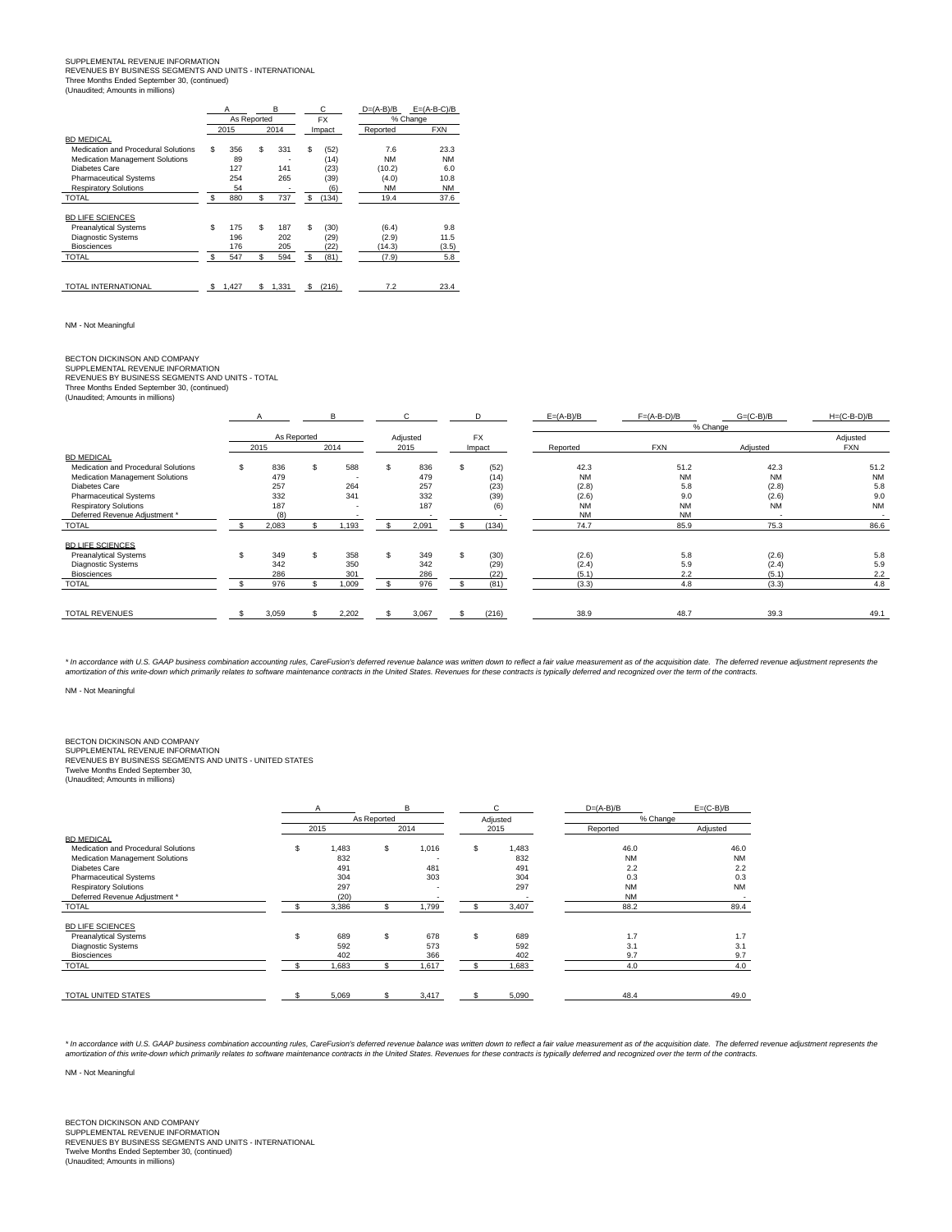### SUPPLEMENTAL REVENUE INFORMATION REVENUES BY BUSINESS SEGMENTS AND UNITS - INTERNATIONAL Three Months Ended September 30, (continued) (Unaudited; Amounts in millions)

|                                     | A |             |     | B     |    | C         | $D=(A-B)/B$ | $E=(A-B-C)/B$ |
|-------------------------------------|---|-------------|-----|-------|----|-----------|-------------|---------------|
|                                     |   | As Reported |     |       |    | <b>FX</b> |             | % Change      |
|                                     |   | 2015        |     | 2014  |    | Impact    | Reported    | <b>FXN</b>    |
| <b>BD MEDICAL</b>                   |   |             |     |       |    |           |             |               |
| Medication and Procedural Solutions | s | 356         | \$  | 331   | \$ | (52)      | 7.6         | 23.3          |
| Medication Management Solutions     |   | 89          |     |       |    | (14)      | <b>NM</b>   | <b>NM</b>     |
| Diabetes Care                       |   | 127         |     | 141   |    | (23)      | (10.2)      | 6.0           |
| <b>Pharmaceutical Systems</b>       |   | 254         |     | 265   |    | (39)      | (4.0)       | 10.8          |
| <b>Respiratory Solutions</b>        |   | 54          |     |       |    | (6)       | <b>NM</b>   | <b>NM</b>     |
| <b>TOTAL</b>                        | S | 880         | \$  | 737   | \$ | (134)     | 19.4        | 37.6          |
| <b>BD LIFE SCIENCES</b>             |   |             |     |       |    |           |             |               |
| <b>Preanalytical Systems</b>        | S | 175         | \$  | 187   | \$ | (30)      | (6.4)       | 9.8           |
| <b>Diagnostic Systems</b>           |   | 196         |     | 202   |    | (29)      | (2.9)       | 11.5          |
| <b>Biosciences</b>                  |   | 176         |     | 205   |    | (22)      | (14.3)      | (3.5)         |
| <b>TOTAL</b>                        | S | 547         | \$. | 594   | \$ | (81)      | (7.9)       | 5.8           |
|                                     |   |             |     |       |    |           |             |               |
| TOTAL INTERNATIONAL                 | s | 1,427       | \$  | 1,331 | \$ | (216)     | 7.2         | 23.4          |

NM - Not Meaningful

# BECTON DICKINSON AND COMPANY

SUPPLEMENTAL REVENUE INFORMATION REVENUES BY BUSINESS SEGMENTS AND UNITS - TOTAL Three Months Ended September 30, (continued) (Unaudited; Amounts in millions)

|       |                                                                       | B.                 |                                                                  |          |                                                                                   | D     | $E=(A-B)/B$                                                                                         | $F=(A-B-D)/B$                                                                      | $G=(C-B)/B$                                                                       | $H=(C-B-D)/B$                                                                                           |
|-------|-----------------------------------------------------------------------|--------------------|------------------------------------------------------------------|----------|-----------------------------------------------------------------------------------|-------|-----------------------------------------------------------------------------------------------------|------------------------------------------------------------------------------------|-----------------------------------------------------------------------------------|---------------------------------------------------------------------------------------------------------|
|       |                                                                       |                    |                                                                  |          |                                                                                   |       |                                                                                                     |                                                                                    |                                                                                   |                                                                                                         |
|       |                                                                       |                    |                                                                  |          |                                                                                   |       |                                                                                                     |                                                                                    |                                                                                   | Adjusted<br><b>FXN</b>                                                                                  |
|       |                                                                       |                    |                                                                  |          |                                                                                   |       |                                                                                                     |                                                                                    |                                                                                   |                                                                                                         |
|       |                                                                       |                    |                                                                  |          |                                                                                   |       |                                                                                                     |                                                                                    |                                                                                   |                                                                                                         |
|       |                                                                       |                    |                                                                  |          |                                                                                   |       |                                                                                                     |                                                                                    |                                                                                   | 51.2                                                                                                    |
|       |                                                                       | . .                |                                                                  |          |                                                                                   |       |                                                                                                     |                                                                                    |                                                                                   | <b>NM</b>                                                                                               |
|       |                                                                       |                    |                                                                  |          |                                                                                   |       |                                                                                                     |                                                                                    |                                                                                   | 5.8                                                                                                     |
|       |                                                                       |                    |                                                                  |          |                                                                                   |       | (2.6)                                                                                               |                                                                                    |                                                                                   | 9.0                                                                                                     |
| 187   |                                                                       |                    |                                                                  | 187      |                                                                                   |       | <b>NM</b>                                                                                           | <b>NM</b>                                                                          | <b>NM</b>                                                                         | <b>NM</b>                                                                                               |
| (8)   |                                                                       |                    |                                                                  |          |                                                                                   |       | <b>NM</b>                                                                                           | <b>NM</b>                                                                          |                                                                                   |                                                                                                         |
| 2.083 |                                                                       | 1,193              |                                                                  | 2,091    |                                                                                   | (134) | 74.7                                                                                                | 85.9                                                                               | 75.3                                                                              | 86.6                                                                                                    |
|       |                                                                       |                    |                                                                  |          |                                                                                   |       |                                                                                                     |                                                                                    |                                                                                   |                                                                                                         |
|       |                                                                       |                    |                                                                  |          |                                                                                   |       |                                                                                                     |                                                                                    |                                                                                   | 5.8                                                                                                     |
|       |                                                                       |                    |                                                                  |          |                                                                                   |       |                                                                                                     |                                                                                    |                                                                                   | 5.9                                                                                                     |
|       |                                                                       |                    |                                                                  |          |                                                                                   |       |                                                                                                     |                                                                                    |                                                                                   | 2.2                                                                                                     |
|       |                                                                       |                    |                                                                  |          |                                                                                   |       |                                                                                                     |                                                                                    |                                                                                   | 4.8                                                                                                     |
|       |                                                                       |                    |                                                                  |          |                                                                                   |       |                                                                                                     |                                                                                    |                                                                                   |                                                                                                         |
|       |                                                                       |                    | \$                                                               |          |                                                                                   |       |                                                                                                     |                                                                                    |                                                                                   | 49.1                                                                                                    |
|       | 2015<br>836<br>479<br>257<br>332<br>349<br>342<br>286<br>976<br>3.059 | As Reported<br>\$. | 2014<br>588<br>264<br>341<br>358<br>350<br>301<br>1,009<br>2,202 | S.<br>S. | Adjusted<br>2015<br>836<br>479<br>257<br>332<br>349<br>342<br>286<br>976<br>3,067 |       | <b>FX</b><br>Impact<br>(52)<br>(14)<br>(23)<br>(39)<br>(6)<br>(30)<br>(29)<br>(22)<br>(81)<br>(216) | Reported<br>42.3<br><b>NM</b><br>(2.8)<br>(2.6)<br>(2.4)<br>(5.1)<br>(3.3)<br>38.9 | <b>FXN</b><br>51.2<br><b>NM</b><br>5.8<br>9.0<br>5.8<br>5.9<br>2.2<br>4.8<br>48.7 | % Change<br>Adjusted<br>42.3<br><b>NM</b><br>(2.8)<br>(2.6)<br>(2.6)<br>(2.4)<br>(5.1)<br>(3.3)<br>39.3 |

\* In accordance with U.S. GAAP business combination accounting rules, CareFusion's deferred revenue balance was written down to reflect a fair value measurement as of the acquisition date. The deferred revenue adjustment r

NM - Not Meaningful

## BECTON DICKINSON AND COMPANY

SUPPLEMENTAL REVENUE INFORMATION REVENUES BY BUSINESS SEGMENTS AND UNITS - UNITED STATES

Twelve Months Ended September 30, (Unaudited; Amounts in millions)

|                                     | Α  |             |    | B                        |    | C        | $D=(A-B)/B$ | $E=(C-B)/B$ |
|-------------------------------------|----|-------------|----|--------------------------|----|----------|-------------|-------------|
|                                     |    | As Reported |    |                          |    | Adjusted | % Change    |             |
|                                     |    | 2015        |    | 2014                     |    | 2015     | Reported    | Adjusted    |
| <b>BD MEDICAL</b>                   |    |             |    |                          |    |          |             |             |
| Medication and Procedural Solutions | \$ | 1,483       | S. | 1,016                    | \$ | 1,483    | 46.0        | 46.0        |
| Medication Management Solutions     |    | 832         |    |                          |    | 832      | <b>NM</b>   | <b>NM</b>   |
| Diabetes Care                       |    | 491         |    | 481                      |    | 491      | 2.2         | 2.2         |
| <b>Pharmaceutical Systems</b>       |    | 304         |    | 303                      |    | 304      | 0.3         | 0.3         |
| <b>Respiratory Solutions</b>        |    | 297         |    | $\overline{\phantom{0}}$ |    | 297      | <b>NM</b>   | <b>NM</b>   |
| Deferred Revenue Adjustment *       |    | (20)        |    |                          |    | $\sim$   | <b>NM</b>   |             |
| <b>TOTAL</b>                        |    | 3,386       |    | 1,799                    |    | 3,407    | 88.2        | 89.4        |
| <b>BD LIFE SCIENCES</b>             |    |             |    |                          |    |          |             |             |
| <b>Preanalytical Systems</b>        | \$ | 689         | S. | 678                      | \$ | 689      | 1.7         | 1.7         |
| <b>Diagnostic Systems</b>           |    | 592         |    | 573                      |    | 592      | 3.1         | 3.1         |
| <b>Biosciences</b>                  |    | 402         |    | 366                      |    | 402      | 9.7         | 9.7         |
| <b>TOTAL</b>                        |    | .683        |    | 1,617                    |    | 1,683    | 4.0         | 4.0         |
|                                     |    |             |    |                          |    |          |             |             |
| TOTAL UNITED STATES                 |    | 5.069       | \$ | 3,417                    | S. | 5,090    | 48.4        | 49.0        |

\* In accordance with U.S. GAAP business combination accounting rules, CareFusion's deferred revenue balance was written down to reflect a fair value measurement as of the acquisition date. The deferred revenue adjustment r

NM - Not Meaningful

BECTON DICKINSON AND COMPANY SUPPLEMENTAL REVENUE INFORMATION REVENUES BY BUSINESS SEGMENTS AND UNITS - INTERNATIONAL Twelve Months Ended September 30, (continued) (Unaudited; Amounts in millions)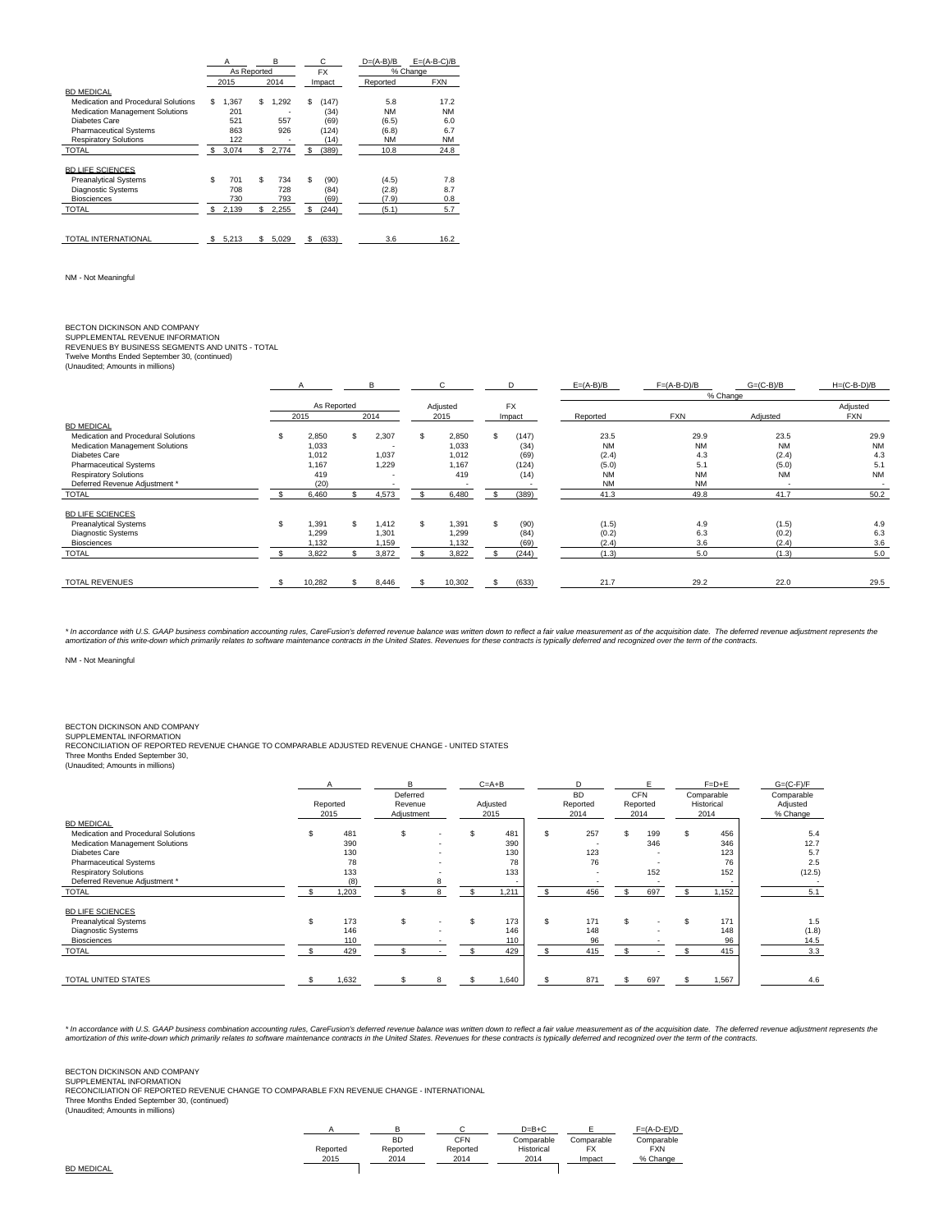|                                        | Α  |             | B  |       | С           | $D=(A-B)/B$ | $E = (A-B-C)/B$ |  |
|----------------------------------------|----|-------------|----|-------|-------------|-------------|-----------------|--|
|                                        |    | As Reported |    |       | <b>FX</b>   |             | % Change        |  |
|                                        |    | 2015        |    | 2014  | Impact      | Reported    | <b>FXN</b>      |  |
| <b>BD MEDICAL</b>                      |    |             |    |       |             |             |                 |  |
| Medication and Procedural Solutions    | s. | 1.367       | \$ | 1.292 | \$<br>(147) | 5.8         | 17.2            |  |
| <b>Medication Management Solutions</b> |    | 201         |    |       | (34)        | <b>NM</b>   | NM              |  |
| Diabetes Care                          |    | 521         |    | 557   | (69)        | (6.5)       | 6.0             |  |
| <b>Pharmaceutical Systems</b>          |    | 863         |    | 926   | (124)       | (6.8)       | 6.7             |  |
| <b>Respiratory Solutions</b>           |    | 122         |    |       | (14)        | <b>NM</b>   | <b>NM</b>       |  |
| <b>TOTAL</b>                           | s  | 3,074       | \$ | 2.774 | \$<br>(389) | 10.8        | 24.8            |  |
|                                        |    |             |    |       |             |             |                 |  |
| <b>BD LIFE SCIENCES</b>                |    |             |    |       |             |             |                 |  |
| <b>Preanalytical Systems</b>           | S  | 701         | \$ | 734   | \$<br>(90)  | (4.5)       | 7.8             |  |
| <b>Diagnostic Systems</b>              |    | 708         |    | 728   | (84)        | (2.8)       | 8.7             |  |
| <b>Biosciences</b>                     |    | 730         |    | 793   | (69)        | (7.9)       | 0.8             |  |
| <b>TOTAL</b>                           | s  | 2,139       | \$ | 2,255 | \$<br>(244) | (5.1)       | 5.7             |  |
|                                        |    |             |    |       |             |             |                 |  |
|                                        |    |             |    |       |             |             |                 |  |
| TOTAL INTERNATIONAL                    | s  | 5,213       | \$ | 5,029 | \$<br>(633) | 3.6         | 16.2            |  |

NM - Not Meaningful

BECTON DICKINSON AND COMPANY<br>SUPPLEMENTAL REVENUE INFORMATION<br>REVENUES BY BUSINESS SEGMENTS AND UNITS - TOTAL<br>Twelve Months Ended September 30, (continued)<br>(Unaudited; Amounts in millions)

|                                     |             |     | в     |          | $\sim$<br>. . |           | D      | $E=(A-B)/B$ | $F=(A-B-D)/B$ | $G=(C-B)/B$ | $H=(C-B-D)/B$            |  |  |  |  |
|-------------------------------------|-------------|-----|-------|----------|---------------|-----------|--------|-------------|---------------|-------------|--------------------------|--|--|--|--|
|                                     |             |     |       |          |               |           |        |             | % Change      |             |                          |  |  |  |  |
|                                     | As Reported |     |       | Adjusted |               | <b>FX</b> |        |             |               |             | Adjusted                 |  |  |  |  |
|                                     | 2015        |     | 2014  |          | 2015          |           | Impact | Reported    | <b>FXN</b>    | Adjusted    | <b>FXN</b>               |  |  |  |  |
| <b>BD MEDICAL</b>                   |             |     |       |          |               |           |        |             |               |             |                          |  |  |  |  |
| Medication and Procedural Solutions | 2,850       | \$  | 2,307 | S.       | 2,850         | S         | (147)  | 23.5        | 29.9          | 23.5        | 29.9                     |  |  |  |  |
| Medication Management Solutions     | 1.033       |     |       |          | 1,033         |           | (34)   | <b>NM</b>   | <b>NM</b>     | <b>NM</b>   | <b>NM</b>                |  |  |  |  |
| Diabetes Care                       | 1.012       |     | 1.037 |          | 1.012         |           | (69)   | (2.4)       | 4.3           | (2.4)       | 4.3                      |  |  |  |  |
| <b>Pharmaceutical Systems</b>       | 1.167       |     | 1.229 |          | 1.167         |           | (124)  | (5.0)       | 5.1           | (5.0)       | 5.1                      |  |  |  |  |
| <b>Respiratory Solutions</b>        | 419         |     |       |          | 419           |           | (14)   | <b>NM</b>   | <b>NM</b>     | <b>NM</b>   | <b>NM</b>                |  |  |  |  |
| Deferred Revenue Adjustment *       | (20)        |     |       |          |               |           |        | <b>NM</b>   | <b>NM</b>     | $\sim$      | $\overline{\phantom{0}}$ |  |  |  |  |
| <b>TOTAL</b>                        | 6,460       |     | 4,573 |          | 6,480         |           | (389)  | 41.3        | 49.8          | 41.7        | 50.2                     |  |  |  |  |
| <b>BD LIFE SCIENCES</b>             |             |     |       |          |               |           |        |             |               |             |                          |  |  |  |  |
| <b>Preanalytical Systems</b>        | 1.391       | \$. | 1.412 | S.       | 1,391         | S         | (90)   | (1.5)       | 4.9           | (1.5)       | 4.9                      |  |  |  |  |
| <b>Diagnostic Systems</b>           | 1.299       |     | 1.301 |          | 1.299         |           | (84)   | (0.2)       | 6.3           | (0.2)       | 6.3                      |  |  |  |  |
| <b>Biosciences</b>                  | 1.132       |     | 1,159 |          | 1,132         |           | (69)   | (2.4)       | 3.6           | (2.4)       | 3.6                      |  |  |  |  |
| <b>TOTAL</b>                        | 3,822       |     | 3,872 |          | 3,822         |           | (244)  | (1.3)       | 5.0           | (1.3)       | 5.0                      |  |  |  |  |
|                                     |             |     |       |          |               |           |        |             |               |             |                          |  |  |  |  |
| <b>TOTAL REVENUES</b>               | 10,282      |     | 8,446 |          | 10,302        |           | (633)  | 21.7        | 29.2          | 22.0        | 29.5                     |  |  |  |  |

\* In accordance with U.S. GAAP business combination accounting rules, CareFusion's deferred revenue balance was written down to reflect a fair value measurement as of the acquisition date. The deferred revenue adjustment r

NM - Not Meaningful

BECTON DICKINSON AND COMPANY<br>SUPPLEMENTAL INFORMATION<br>RECONCILIATION OF REPORTED REVENUE CHANGE TO COMPARABLE ADJUSTED REVENUE CHANGE - UNITED STATES<br>Three Months Ended September 30,<br>(Unaudited; Amounts in millions)

|                                     |    | Reported<br>2015 |   |                                   |  | $C = A + B$      |          | D                             |     | E                              |  | $F=D+E$                          | $G=(C-F)/F$ |
|-------------------------------------|----|------------------|---|-----------------------------------|--|------------------|----------|-------------------------------|-----|--------------------------------|--|----------------------------------|-------------|
|                                     |    |                  |   | Deferred<br>Revenue<br>Adjustment |  | Adjusted<br>2015 |          | <b>BD</b><br>Reported<br>2014 |     | <b>CFN</b><br>Reported<br>2014 |  | Comparable<br>Historical<br>2014 |             |
| <b>BD MEDICAL</b>                   |    |                  |   |                                   |  |                  |          |                               |     |                                |  |                                  |             |
| Medication and Procedural Solutions |    | 481              | S |                                   |  | 481              | S        | 257                           |     | 199                            |  | 456                              | 5.4         |
| Medication Management Solutions     |    | 390              |   |                                   |  | 390              |          |                               |     | 346                            |  | 346                              | 12.7        |
| Diabetes Care                       |    | 130              |   |                                   |  | 130              |          | 123                           |     |                                |  | 123                              | 5.7         |
| <b>Pharmaceutical Systems</b>       |    | 78               |   |                                   |  | 78               |          | 76                            |     |                                |  | 76                               | 2.5         |
| <b>Respiratory Solutions</b>        |    | 133              |   |                                   |  | 133              |          | $\overline{\phantom{a}}$      |     | 152                            |  | 152                              | (12.5)      |
| Deferred Revenue Adjustment *       |    | (8)              |   |                                   |  |                  |          |                               |     |                                |  |                                  |             |
| <b>TOTAL</b>                        |    | 1,203            |   |                                   |  | 1,211            | <b>s</b> | 456                           | \$. | 697                            |  | 1,152                            | 5.1         |
| <b>BD LIFE SCIENCES</b>             |    |                  |   |                                   |  |                  |          |                               |     |                                |  |                                  |             |
| <b>Preanalytical Systems</b>        | S. | 173              | S |                                   |  | 173              | \$.      | 171                           |     |                                |  | 171                              | 1.5         |
| <b>Diagnostic Systems</b>           |    | 146              |   |                                   |  | 146              |          | 148                           |     |                                |  | 148                              | (1.8)       |
| <b>Biosciences</b>                  |    | 110              |   |                                   |  | 110              |          | 96                            |     |                                |  | 96                               | 14.5        |
| <b>TOTAL</b>                        |    | 429              |   |                                   |  | 429              |          | 415                           |     |                                |  | 415                              | 3.3         |
| <b>TOTAL UNITED STATES</b>          |    | 1,632            |   |                                   |  | 1,640            |          | 871                           | \$  | 697                            |  | 1.567                            | 4.6         |

\* In accordance with U.S. GAAP business combination accounting rules, CareFusion's deferred revenue balance was written down to reflect a fair value measurement as of the acquisition date. The deferred revenue adjustment r

# BECTON DICKINSON AND COMPANY SUPPLEMENTAL INFORMATION

RECONCILIATION OF REPORTED REVENUE CHANGE TO COMPARABLE FXN REVENUE CHANGE - INTERNATIONAL<br>Three Months Ended September 30, (continued)<br>(Unaudited; Amounts in millions)

|          |          |          | $D=B+C$    |            | $F=(A-D-E)/D$ |
|----------|----------|----------|------------|------------|---------------|
|          | BD       | CFN      | Comparable | Comparable | Comparable    |
| Reported | Reported | Reported | Historical |            | <b>FXN</b>    |
| 2015     | 2014     | 2014     | 2014       | Impact     | % Change      |

BD MEDICAL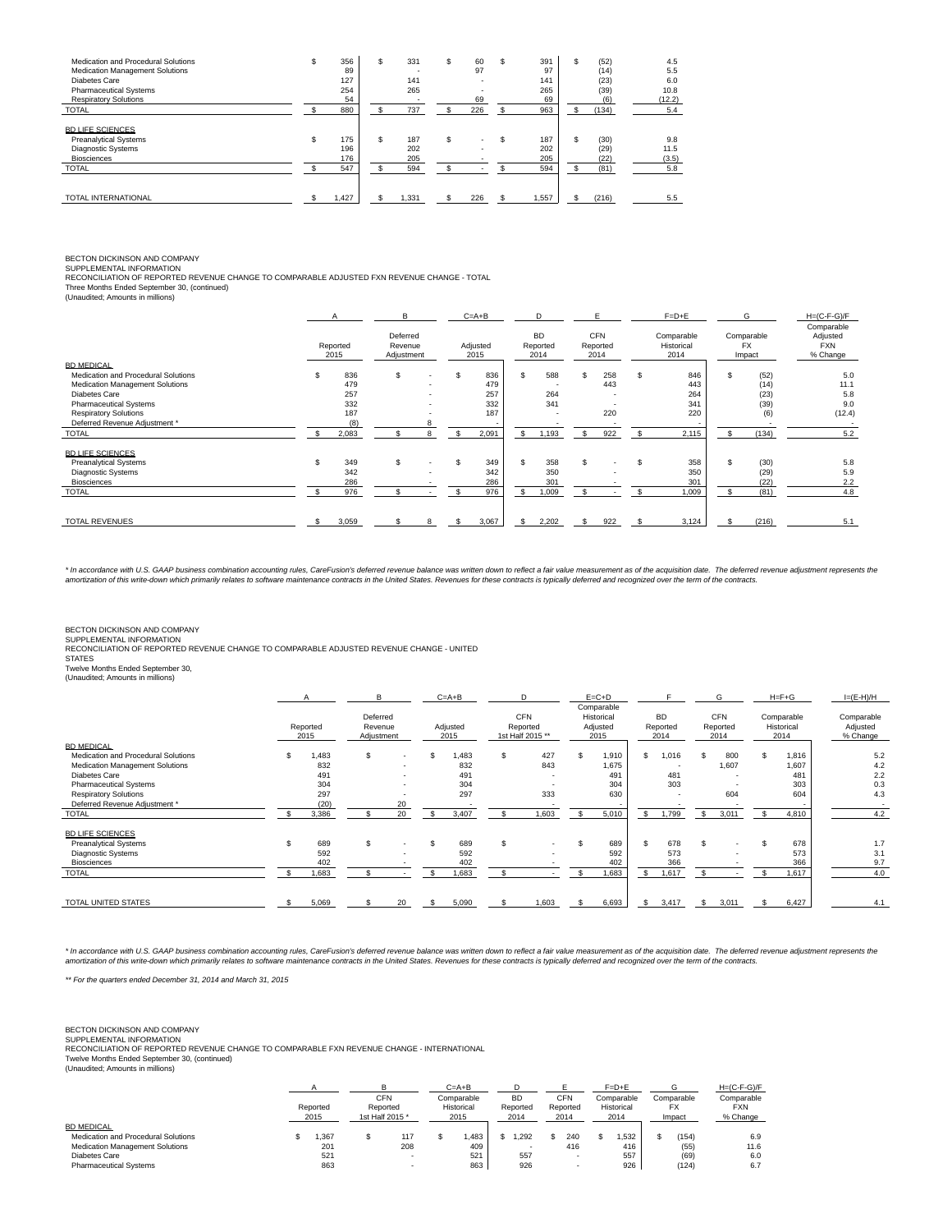| Medication and Procedural Solutions<br>Medication Management Solutions<br>Diabetes Care<br><b>Pharmaceutical Systems</b> | ъ  | 356<br>89<br>127<br>254 | S | 331<br>141<br>265 | S | 60<br>97<br>$\overline{\phantom{0}}$ | ъ   | 391<br>97<br>141<br>265 |     | (52)<br>(14)<br>(23)<br>(39) | 4.5<br>5.5<br>6.0<br>10.8 |
|--------------------------------------------------------------------------------------------------------------------------|----|-------------------------|---|-------------------|---|--------------------------------------|-----|-------------------------|-----|------------------------------|---------------------------|
| <b>Respiratory Solutions</b>                                                                                             |    | 54                      |   |                   |   | 69                                   |     | 69                      |     | (6)                          | (12.2)                    |
| <b>TOTAL</b>                                                                                                             |    | 880                     |   | 737               |   | 226                                  |     | 963                     |     | (134)                        | 5.4                       |
| <b>BD LIFE SCIENCES</b><br><b>Preanalytical Systems</b><br>Diagnostic Systems<br><b>Biosciences</b>                      | \$ | 175<br>196<br>176       | S | 187<br>202<br>205 | S | $\overline{\phantom{0}}$             | \$. | 187<br>202<br>205       | \$. | (30)<br>(29)<br>(22)         | 9.8<br>11.5<br>(3.5)      |
| <b>TOTAL</b>                                                                                                             |    | 547                     |   | 594               |   |                                      |     | 594                     |     | (81)                         | 5.8                       |
| <b>TOTAL INTERNATIONAL</b>                                                                                               |    | 1.427                   |   | 1,331             |   | 226                                  |     | 1,557                   |     | (216)                        | 5.5                       |

# BECTON DICKINSON AND COMPANY SUPPLEMENTAL INFORMATION

RECONCILIATION OF REPORTED REVENUE CHANGE TO COMPARABLE ADJUSTED FXN REVENUE CHANGE - TOTAL<br>Three Months Ended September 30, (continued)<br>(Unaudited; Amounts in millions)

|                                                                                                                                                                                                                         | A<br>Reported<br>2015                           | B<br>Deferred<br>Revenue<br>Adjustment |                          | $C = A + B$<br>Adjusted<br>2015                |               | D<br><b>BD</b><br>Reported<br>2014                     | F<br><b>CFN</b><br>Reported<br>2014                         |   | $F=D+E$<br>Comparable<br>Historical<br>2014 |     | G<br>Comparable<br><b>FX</b><br>Impact       | $H=(C-F-G)/F$<br>Comparable<br>Adjusted<br><b>FXN</b><br>% Change |
|-------------------------------------------------------------------------------------------------------------------------------------------------------------------------------------------------------------------------|-------------------------------------------------|----------------------------------------|--------------------------|------------------------------------------------|---------------|--------------------------------------------------------|-------------------------------------------------------------|---|---------------------------------------------|-----|----------------------------------------------|-------------------------------------------------------------------|
| BD MEDICAL<br>Medication and Procedural Solutions<br>Medication Management Solutions<br>Diabetes Care<br><b>Pharmaceutical Systems</b><br><b>Respiratory Solutions</b><br>Deferred Revenue Adjustment *<br><b>TOTAL</b> | 836<br>479<br>257<br>332<br>187<br>(8)<br>2,083 | S.                                     | R                        | \$<br>836<br>479<br>257<br>332<br>187<br>2,091 |               | 588<br>264<br>341<br>$\overline{\phantom{0}}$<br>1,193 | 258<br>443<br>$\overline{\phantom{0}}$<br>. .<br>220<br>922 |   | 846<br>443<br>264<br>341<br>220<br>2,115    | \$. | (52)<br>(14)<br>(23)<br>(39)<br>(6)<br>(134) | 5.0<br>11.1<br>5.8<br>9.0<br>(12.4)<br>5.2                        |
| <b>BD LIFE SCIENCES</b><br><b>Preanalytical Systems</b><br><b>Diagnostic Systems</b><br><b>Biosciences</b><br><b>TOTAL</b>                                                                                              | 349<br>342<br>286<br>976                        | S.                                     | $\overline{\phantom{a}}$ | \$<br>349<br>342<br>286<br>976                 | S<br><b>s</b> | 358<br>350<br>301<br>1,009                             | $\overline{\phantom{0}}$                                    | S | 358<br>350<br>301<br>1,009                  | \$  | (30)<br>(29)<br>(22)<br>(81)                 | 5.8<br>5.9<br>2.2<br>4.8                                          |
| <b>TOTAL REVENUES</b>                                                                                                                                                                                                   | 3,059                                           |                                        |                          | 3,067                                          |               | 2,202                                                  | 922                                                         |   | 3,124                                       |     | (216)                                        | 5.1                                                               |

\* In accordance with U.S. GAAP business combination accounting rules, CareFusion's deferred revenue balance was written down to reflect a fair value measurement as of the acquisition date. The deferred revenue adjustment r

BECTON DICKINSON AND COMPANY

SUPPLEMENTAL INFORMATION RECONCILIATION OF REPORTED REVENUE CHANGE TO COMPARABLE ADJUSTED REVENUE CHANGE - UNITED

**STATES** 

Twelve Months Ended September 30, (Unaudited; Amounts in millions)

|                                     |                  | B                                 |                          |     | $C = A + B$      |                | D                                          | $E = C + D$                                  |              |                               |    | G                              |    | $H = F + G$                      | $I=(E-H)/H$                        |
|-------------------------------------|------------------|-----------------------------------|--------------------------|-----|------------------|----------------|--------------------------------------------|----------------------------------------------|--------------|-------------------------------|----|--------------------------------|----|----------------------------------|------------------------------------|
|                                     | Reported<br>2015 | Deferred<br>Revenue<br>Adjustment |                          |     | Adjusted<br>2015 |                | <b>CFN</b><br>Reported<br>1st Half 2015 ** | Comparable<br>Historical<br>Adjusted<br>2015 |              | <b>BD</b><br>Reported<br>2014 |    | <b>CFN</b><br>Reported<br>2014 |    | Comparable<br>Historical<br>2014 | Comparable<br>Adjusted<br>% Change |
| <b>BD MEDICAL</b>                   |                  |                                   |                          |     |                  |                |                                            |                                              |              |                               |    |                                |    |                                  |                                    |
| Medication and Procedural Solutions | 1.483            | \$.                               | $\overline{\phantom{0}}$ | \$. | 1.483            | \$.            | 427                                        | 1,910                                        | s.           | .016                          |    | 800                            | S. | 1,816                            | 5.2                                |
| Medication Management Solutions     | 832              |                                   |                          |     | 832              |                | 843                                        | 1,675                                        |              |                               |    | 1,607                          |    | 1,607                            | 4.2                                |
| Diabetes Care                       | 491              |                                   |                          |     | 491              |                | $\overline{\phantom{0}}$                   | 491                                          |              | 481                           |    |                                |    | 481                              | 2.2                                |
| <b>Pharmaceutical Systems</b>       | 304              |                                   | $\overline{\phantom{0}}$ |     | 304              |                | $\overline{\phantom{0}}$                   | 304                                          |              | 303                           |    |                                |    | 303                              | 0.3                                |
| <b>Respiratory Solutions</b>        | 297              |                                   |                          |     | 297              |                | 333                                        | 630                                          |              |                               |    | 604                            |    | 604                              | 4.3                                |
| Deferred Revenue Adjustment *       | (20)             |                                   | 20                       |     |                  |                | $\overline{\phantom{a}}$                   |                                              |              |                               |    |                                |    |                                  | $\overline{\phantom{0}}$           |
| <b>TOTAL</b>                        | 3,386            |                                   | 20                       |     | 3,407            |                | 1,603                                      | 5,010                                        | -S           | 1,799                         | s  | 3,011                          |    | 4,810                            | 4.2                                |
| <b>BD LIFE SCIENCES</b>             |                  |                                   |                          |     |                  |                |                                            |                                              |              |                               |    |                                |    |                                  |                                    |
| <b>Preanalytical Systems</b>        | 689              | \$.                               | $\overline{\phantom{0}}$ | \$. | 689              | $\mathfrak{L}$ | $\sim$                                     | 689                                          | $\mathbf{s}$ | 678                           | S. |                                |    | 678                              | 1.7                                |
| Diagnostic Systems                  | 592              |                                   |                          |     | 592              |                | $\overline{\phantom{a}}$                   | 592                                          |              | 573                           |    |                                |    | 573                              | 3.1                                |
| <b>Biosciences</b>                  | 402              |                                   |                          |     | 402              |                |                                            | 402                                          |              | 366                           |    |                                |    | 366                              | 9.7                                |
| <b>TOTAL</b>                        | 1,683            |                                   |                          |     | 1,683            |                |                                            | 1,683                                        | s.           | 1,617                         |    |                                |    | 1,617                            | 4.0                                |
|                                     |                  |                                   |                          |     |                  |                |                                            |                                              |              |                               |    |                                |    |                                  |                                    |
| TOTAL UNITED STATES                 | 5,069            |                                   | 20                       | £.  | 5,090            |                | 1,603                                      | 6,693                                        | £.           | 3,417                         | s. | 3,011                          |    | 6,427                            | 4.1                                |

\* In accordance with U.S. GAAP business combination accounting rules, CareFusion's deferred revenue balance was written down to reflect a fair value measurement as of the acquisition date. The deferred revenue adjustment r

\*\* For the quarters ended December 31, 2014 and March 31, 2015

BECTON DICKINSON AND COMPANY<br>SUPPLEMENTAL INFORMATION<br>RECONCILIATION OF REPORTED REVENUE CHANGE TO COMPARABLE FXN REVENUE CHANGE - INTERNATIONAL<br>Twelve Months Ended September 30, (continued)<br>(Unaudited; Amounts in millions

|                                     |                  |  |                                           | $C = A + B$                      |                               |                         | $F=D+E$                          |                             | $H=(C-F-G)/F$                        |
|-------------------------------------|------------------|--|-------------------------------------------|----------------------------------|-------------------------------|-------------------------|----------------------------------|-----------------------------|--------------------------------------|
|                                     | Reported<br>2015 |  | <b>CFN</b><br>Reported<br>1st Half 2015 * | Comparable<br>Historical<br>2015 | <b>BD</b><br>Reported<br>2014 | CFN<br>Reported<br>2014 | Comparable<br>Historical<br>2014 | Comparable<br>FX.<br>Impact | Comparable<br><b>FXN</b><br>% Change |
| <b>BD MEDICAL</b>                   |                  |  |                                           |                                  |                               |                         |                                  |                             |                                      |
| Medication and Procedural Solutions | .367             |  | 117                                       | .483                             | .292                          | 240                     | .532                             | (154)                       | 6.9                                  |
| Medication Management Solutions     | 201              |  | 208                                       | 409                              |                               | 416                     | 416                              | (55)                        | 11.6                                 |
| Diabetes Care                       | 521              |  |                                           | 521                              | 557                           |                         | 557                              | (69)                        | 6.0                                  |
| <b>Pharmaceutical Systems</b>       | 863              |  |                                           | 863                              | 926                           |                         | 926                              | (124)                       | 6.7                                  |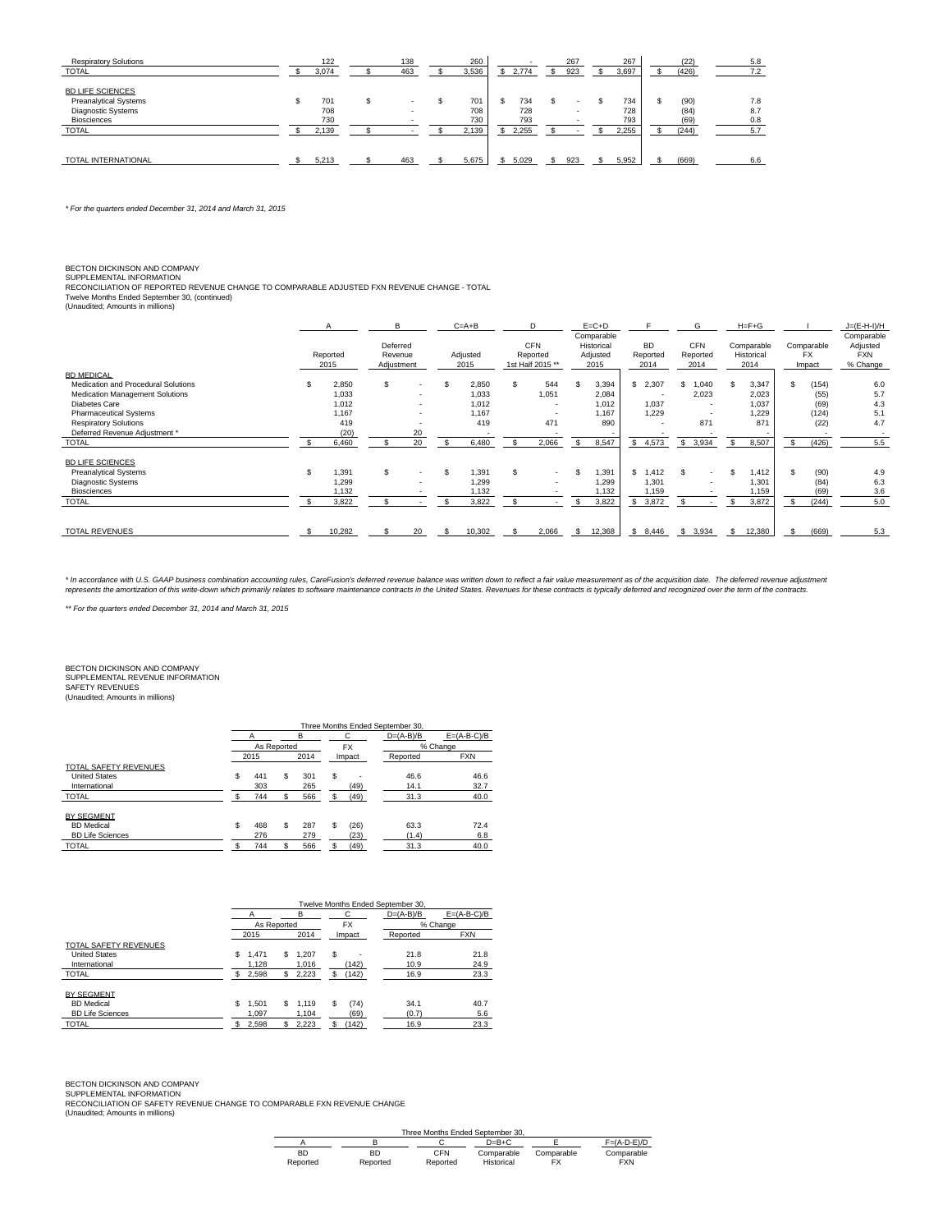| <b>Respiratory Solutions</b> | 122   |   | 138 | 260   |       |     | 267 | 267   |   | (22)  | 5.8 |
|------------------------------|-------|---|-----|-------|-------|-----|-----|-------|---|-------|-----|
| <b>TOTAL</b>                 | 3,074 |   | 463 | 3,536 | 2.774 | \$. | 923 | 3,697 |   | (426) | 7.2 |
| <b>BD LIFE SCIENCES</b>      |       |   |     |       |       |     |     |       |   |       |     |
| <b>Preanalytical Systems</b> | 701   | S |     | 701   | 734   | S   |     | 734   | S | (90)  | 7.8 |
| Diagnostic Systems           | 708   |   | . . | 708   | 728   |     |     | 728   |   | (84)  | 8.7 |
| <b>Biosciences</b>           | 730   |   |     | 730   | 793   |     |     | 793   |   | (69)  | 0.8 |
| <b>TOTAL</b>                 | 2,139 |   |     | 2,139 | 2,255 |     |     | 2.255 |   | (244) | 5.7 |
|                              |       |   |     |       |       |     |     |       |   |       |     |
| TOTAL INTERNATIONAL          | 5,213 |   | 463 | 5.675 | 5.029 |     | 923 | 5,952 |   | (669) | 6.6 |

\* For the quarters ended December 31, 2014 and March 31, 2015

## BECTON DICKINSON AND COMPANY

SUPPLEMENTAL INFORMATION<br>RECONCILIATION OF REPORTED REVENUE CHANGE TO COMPARABLE ADJUSTED FXN REVENUE CHANGE - TOTAL<br>Twelve Months Ended September 30, (continued)<br>(Unaudited; Amounts in millions)

|                                                                                                     |     | $\overline{A}$                | B                                 |                                      | $C = A + B$             | D                                          | $E = C + D$                                  |                               | G                              |                                        | $H = F + G$                      |    |                                   | $J=(E-H-I)/H$                                    |
|-----------------------------------------------------------------------------------------------------|-----|-------------------------------|-----------------------------------|--------------------------------------|-------------------------|--------------------------------------------|----------------------------------------------|-------------------------------|--------------------------------|----------------------------------------|----------------------------------|----|-----------------------------------|--------------------------------------------------|
|                                                                                                     |     | Reported<br>2015              | Deferred<br>Revenue<br>Adjustment |                                      | Adjusted<br>2015        | <b>CFN</b><br>Reported<br>1st Half 2015 ** | Comparable<br>Historical<br>Adjusted<br>2015 | <b>BD</b><br>Reported<br>2014 | <b>CFN</b><br>Reported<br>2014 |                                        | Comparable<br>Historical<br>2014 |    | Comparable<br><b>FX</b><br>Impact | Comparable<br>Adjusted<br><b>FXN</b><br>% Change |
| <b>BD MEDICAL</b><br>Medication and Procedural Solutions<br>Medication Management Solutions         |     | 2,850<br>1,033                | S.                                | $\overline{\phantom{a}}$             | 2,850<br>1,033          | 544<br>1,051                               | 3,394<br>2,084                               | \$2,307                       | и                              | .040<br>2,023                          | 3,347<br>2,023                   | S  | (154)<br>(55)                     | 6.0<br>5.7                                       |
| Diabetes Care<br><b>Pharmaceutical Systems</b><br><b>Respiratory Solutions</b>                      |     | 1,012<br>1.167<br>419<br>(20) |                                   | $\overline{\phantom{a}}$<br>۰.<br>20 | 1,012<br>1.167<br>419   | $\overline{\phantom{0}}$<br>471            | 1,012<br>1.167<br>890                        | 1,037<br>1,229<br>. .         |                                | $\overline{\phantom{0}}$<br>. .<br>871 | 1,037<br>1,229<br>871            |    | (69)<br>(124)<br>(22)             | 4.3<br>5.1<br>4.7                                |
| Deferred Revenue Adjustment *<br><b>TOTAL</b>                                                       |     | 6,460                         |                                   | 20                                   | 6,480                   | 2,066                                      | 8,547                                        | \$4,573                       |                                | 3,934                                  | 8.507                            | S  | (426)                             | 5.5                                              |
| <b>BD LIFE SCIENCES</b><br><b>Preanalytical Systems</b><br>Diagnostic Systems<br><b>Biosciences</b> | \$. | 1.391<br>1,299<br>1.132       | S.                                |                                      | 1.391<br>1,299<br>1,132 | $\sim$                                     | 1.391<br>1,299<br>1.132                      | \$1.412<br>1,301<br>1,159     |                                | $\overline{\phantom{0}}$               | 1,412<br>1.301<br>1.159          | \$ | (90)<br>(84)<br>(69)              | 4.9<br>6.3<br>3.6                                |
| <b>TOTAL</b>                                                                                        |     | 3,822                         |                                   | $\sim$                               | 3,822                   |                                            | 3,822                                        | 3,872<br>\$                   |                                |                                        | 3,872                            |    | (244)                             | 5.0                                              |
| <b>TOTAL REVENUES</b>                                                                               |     | 10.282                        |                                   | 20                                   | 10,302                  | 2,066                                      | 12,368                                       | \$8,446                       | £.                             | 3,934                                  | 12,380                           |    | (669)                             | 5.3                                              |

\* In accordance with U.S. GAAP business combination accounting rules, CareFusion's deferred revenue balance was written down to reflect a fair value measurement as of the acquisition date. The deferred revenue adjustment<br>r

\*\* For the quarters ended December 31, 2014 and March 31, 2015

BECTON DICKINSON AND COMPANY SUPPLEMENTAL REVENUE INFORMATION SAFETY REVENUES

(Unaudited; Amounts in millions)

|                                                                   |                  |                  |   |              | Three Months Ended September 30, |                 |
|-------------------------------------------------------------------|------------------|------------------|---|--------------|----------------------------------|-----------------|
|                                                                   |                  | B                |   | C            | $D=(A-B)/B$                      | $E = (A-B-C)/B$ |
|                                                                   | As Reported      |                  |   | <b>FX</b>    |                                  | % Change        |
|                                                                   | 2015             | 2014             |   | Impact       | Reported                         | <b>FXN</b>      |
| <b>TOTAL SAFETY REVENUES</b>                                      |                  |                  |   |              |                                  |                 |
| <b>United States</b>                                              | \$<br>441        | \$<br>301        | s |              | 46.6                             | 46.6            |
| International                                                     | 303              | 265              |   | (49)         | 14.1                             | 32.7            |
| <b>TOTAL</b>                                                      | 744              | 566              |   | (49)         | 31.3                             | 40.0            |
| <b>BY SEGMENT</b><br><b>BD</b> Medical<br><b>BD Life Sciences</b> | \$<br>468<br>276 | \$<br>287<br>279 | S | (26)<br>(23) | 63.3<br>(1.4)                    | 72.4<br>6.8     |
| <b>TOTAL</b>                                                      | 744              | 566              |   | (49)         | 31.3                             | 40.0            |
|                                                                   |                  |                  |   |              |                                  |                 |

|                                                                                       |    |             |    |       |   |           | Twelve Months Ended September 30, |               |
|---------------------------------------------------------------------------------------|----|-------------|----|-------|---|-----------|-----------------------------------|---------------|
| <b>United States</b><br>International<br><b>BD</b> Medical<br><b>BD Life Sciences</b> |    |             |    | в     |   | С         | $D=(A-B)/B$                       | $E=(A-B-C)/B$ |
| TOTAL SAFETY REVENUES<br><b>TOTAL</b>                                                 |    | As Reported |    |       |   | <b>FX</b> |                                   | % Change      |
|                                                                                       |    | 2015        |    | 2014  |   | Impact    | Reported                          | <b>FXN</b>    |
|                                                                                       |    |             |    |       |   |           |                                   |               |
|                                                                                       | \$ | 1.471       | \$ | 1.207 | s |           | 21.8                              | 21.8          |
|                                                                                       |    | 1.128       |    | 1.016 |   | (142)     | 10.9                              | 24.9          |
|                                                                                       | S  | 2,598       | S. | 2,223 |   | (142)     | 16.9                              | 23.3          |
| <b>BY SEGMENT</b>                                                                     |    |             |    |       |   |           |                                   |               |
|                                                                                       | \$ | 1.501       | \$ | 1,119 | S | (74)      | 34.1                              | 40.7          |
|                                                                                       |    | 1.097       |    | 1.104 |   | (69)      | (0.7)                             | 5.6           |
| <b>TOTAL</b>                                                                          |    | 2,598       | S  | 2,223 |   | (142)     | 16.9                              | 23.3          |
|                                                                                       |    |             |    |       |   |           |                                   |               |

BECTON DICKINSON AND COMPANY<br>SUPPLEMENTAL INFORMATION<br>RECONCILIATION OF SAFETY REVENUE CHANGE TO COMPARABLE FXN REVENUE CHANGE<br>(Unaudited; Amounts in millions)

|           |          | Three Months Ended September 30. |            |            |               |
|-----------|----------|----------------------------------|------------|------------|---------------|
|           |          |                                  | $D=B+C$    |            | $F=(A-D-E)/D$ |
| <b>BD</b> | BD       | <b>CFN</b>                       | Comparable | Comparable | Comparable    |
| Reported  | Reported | Reported                         | Historical |            | <b>FXN</b>    |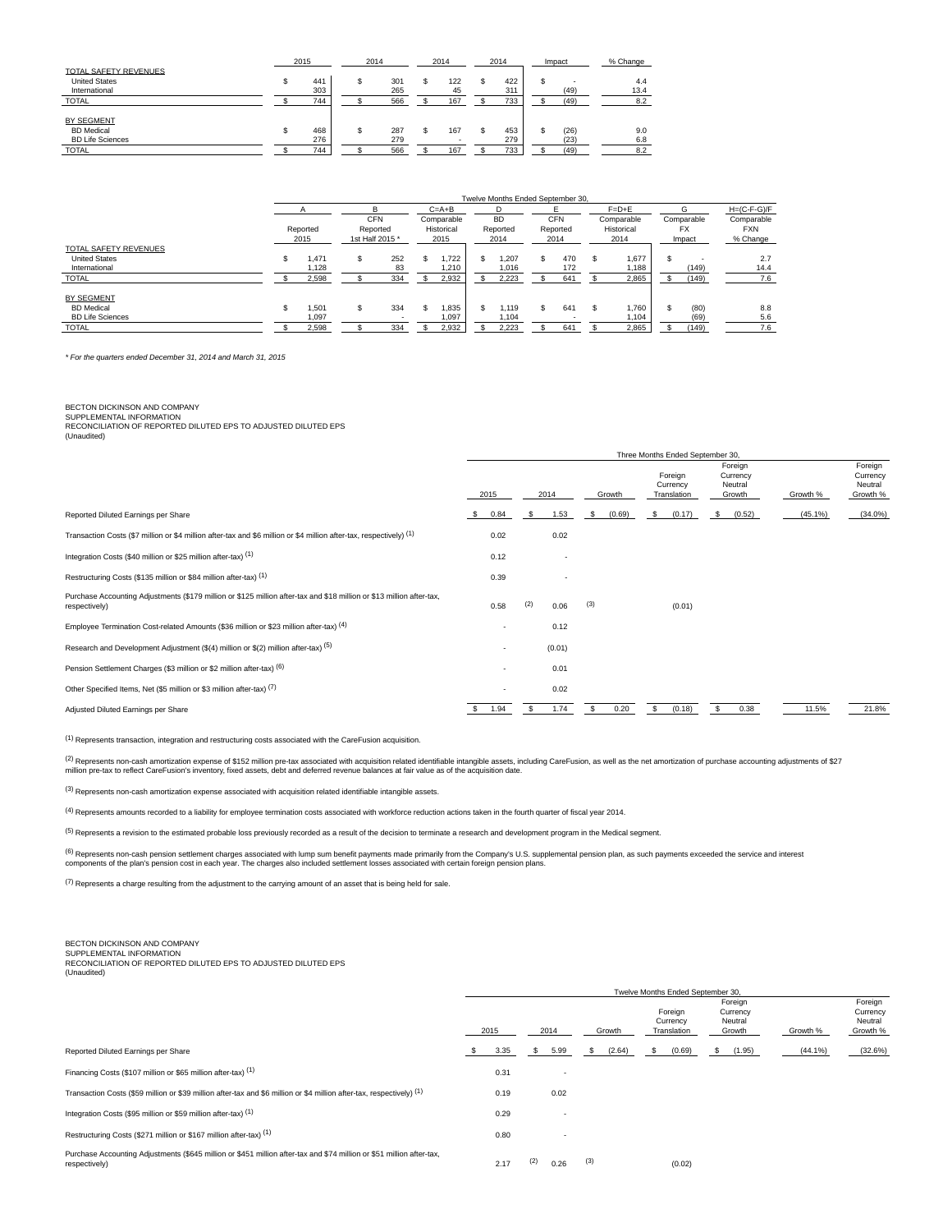|                         | 2015 | 2014 |     | 2014 | 2014 | Impact     | % Change |
|-------------------------|------|------|-----|------|------|------------|----------|
| TOTAL SAFETY REVENUES   |      |      |     |      |      |            |          |
| <b>United States</b>    | 441  |      | 301 | 122  | 422  |            | 4.4      |
| International           | 303  |      | 265 | 45   | 311  | (49)       | 13.4     |
| <b>TOTAL</b>            | 744  |      | 566 | 167  | 733  | (49)       | 8.2      |
|                         |      |      |     |      |      |            |          |
| BY SEGMENT              |      |      |     |      |      |            |          |
| <b>BD</b> Medical       | 468  |      | 287 | 167  | 453  | \$<br>(26) | 9.0      |
| <b>BD Life Sciences</b> | 276  |      | 279 |      | 279  | (23)       | 6.8      |
| <b>TOTAL</b>            | 744  |      | 566 | 167  | 733  | (49)       | 8.2      |

|                              |                  |                                           |     |                                  | Twelve Months Ended September 30. |    |                                |    |                                  |    |                                   |                                      |
|------------------------------|------------------|-------------------------------------------|-----|----------------------------------|-----------------------------------|----|--------------------------------|----|----------------------------------|----|-----------------------------------|--------------------------------------|
|                              |                  | R                                         |     | $C = A + B$                      |                                   |    |                                |    | $F = D + E$                      |    | G                                 | $H=(C-F-G)/F$                        |
|                              | Reported<br>2015 | <b>CFN</b><br>Reported<br>1st Half 2015 * |     | Comparable<br>Historical<br>2015 | <b>BD</b><br>Reported<br>2014     |    | <b>CFN</b><br>Reported<br>2014 |    | Comparable<br>Historical<br>2014 |    | Comparable<br><b>FX</b><br>Impact | Comparable<br><b>FXN</b><br>% Change |
| <b>TOTAL SAFETY REVENUES</b> |                  |                                           |     |                                  |                                   |    |                                |    |                                  |    |                                   |                                      |
| <b>United States</b>         | 1,471            | s                                         | 252 | 1,722                            | 1,207                             | \$ | 470                            |    | 1,677                            | S  |                                   | 2.7                                  |
| International                | 1.128            |                                           | 83  | 1.210                            | 1.016                             |    | 172                            |    | 1.188                            |    | (149)                             | 14.4                                 |
| <b>TOTAL</b>                 | 2,598            |                                           | 334 | 2.932                            | 2.223                             |    | 641                            |    | 2,865                            |    | (149)                             | 7.6                                  |
| BY SEGMENT                   |                  |                                           |     |                                  |                                   |    |                                |    |                                  |    |                                   |                                      |
| <b>BD</b> Medical            | 1,501            | s                                         | 334 | 1,835                            | 1.119                             | S. | 641                            | £. | 1,760                            | \$ | (80)                              | 8.8                                  |
| <b>BD Life Sciences</b>      | 1.097            |                                           |     | 1.097                            | 1.104                             |    |                                |    | 1.104                            |    | (69)                              | 5.6                                  |
| <b>TOTAL</b>                 | 2.598            |                                           | 334 | 2.932                            | 2.223                             |    | 641                            |    | 2,865                            |    | (149)                             | 7.6                                  |

\* For the quarters ended December 31, 2014 and March 31, 2015

## BECTON DICKINSON AND COMPANY

SUPPLEMENTAL INFORMATION RECONCILIATION OF REPORTED DILUTED EPS TO ADJUSTED DILUTED EPS (Unaudited)

|                                                                                                                                        |      |                          |      |                          |     |        | Three Months Ended September 30,   |                                          |            |                                            |
|----------------------------------------------------------------------------------------------------------------------------------------|------|--------------------------|------|--------------------------|-----|--------|------------------------------------|------------------------------------------|------------|--------------------------------------------|
|                                                                                                                                        | 2015 |                          |      | 2014                     |     | Growth | Foreign<br>Currency<br>Translation | Foreign<br>Currency<br>Neutral<br>Growth | Growth %   | Foreign<br>Currency<br>Neutral<br>Growth % |
| Reported Diluted Earnings per Share                                                                                                    | -S   | 0.84                     | -S   | 1.53                     | S.  | (0.69) | \$<br>(0.17)                       | \$<br>(0.52)                             | $(45.1\%)$ | $(34.0\%)$                                 |
| Transaction Costs (\$7 million or \$4 million after-tax and \$6 million or \$4 million after-tax, respectively) (1)                    |      | 0.02                     |      | 0.02                     |     |        |                                    |                                          |            |                                            |
| Integration Costs (\$40 million or \$25 million after-tax) (1)                                                                         |      | 0.12                     |      |                          |     |        |                                    |                                          |            |                                            |
| Restructuring Costs (\$135 million or \$84 million after-tax) (1)                                                                      |      | 0.39                     |      | $\overline{\phantom{a}}$ |     |        |                                    |                                          |            |                                            |
| Purchase Accounting Adjustments (\$179 million or \$125 million after-tax and \$18 million or \$13 million after-tax,<br>respectively) |      | 0.58                     | (2)  | 0.06                     | (3) |        | (0.01)                             |                                          |            |                                            |
| Employee Termination Cost-related Amounts (\$36 million or \$23 million after-tax) (4)                                                 |      | $\overline{\phantom{a}}$ |      | 0.12                     |     |        |                                    |                                          |            |                                            |
| Research and Development Adjustment (\$(4) million or \$(2) million after-tax) (5)                                                     |      | $\overline{\phantom{a}}$ |      | (0.01)                   |     |        |                                    |                                          |            |                                            |
| Pension Settlement Charges (\$3 million or \$2 million after-tax) (6)                                                                  |      |                          |      | 0.01                     |     |        |                                    |                                          |            |                                            |
| Other Specified Items, Net (\$5 million or \$3 million after-tax) (7)                                                                  |      |                          |      | 0.02                     |     |        |                                    |                                          |            |                                            |
| Adjusted Diluted Earnings per Share                                                                                                    | S.   | 1.94                     | - \$ | 1.74                     |     | 0.20   | \$<br>(0.18)                       | \$<br>0.38                               | 11.5%      | 21.8%                                      |

(1) Represents transaction, integration and restructuring costs associated with the CareFusion acquisition.

<sup>(2)</sup> Represents non-cash amortization expense of \$152 million pre-tax associated with acquisition related identifiable intangible assets, including CareFusion, as well as the net amortization of purchase accounting adjust

(3) Represents non-cash amortization expense associated with acquisition related identifiable intangible assets.

(4) Represents amounts recorded to a liability for employee termination costs associated with workforce reduction actions taken in the fourth quarter of fiscal year 2014.

<sup>(5)</sup> Represents a revision to the estimated probable loss previously recorded as a result of the decision to terminate a research and development program in the Medical segment.

<sup>(6)</sup> Represents non-cash pension settlement charges associated with lump sum benefit payments made primarily from the Company's U.S. supplemental pension plan, as such payments exceeded the service and interest<br>components

(7) Represents a charge resulting from the adjustment to the carrying amount of an asset that is being held for sale.

BECTON DICKINSON AND COMPANY<br>SUPPLEMENTAL INFORMATION<br>RECONCILIATION OF REPORTED DILUTED EPS TO ADJUSTED DILUTED EPS (Unaudited)

|                                                                                                                                        |      |      |     |                          |     |        |    | Twelve Months Ended September 30,  |   |                                          |            |                                            |
|----------------------------------------------------------------------------------------------------------------------------------------|------|------|-----|--------------------------|-----|--------|----|------------------------------------|---|------------------------------------------|------------|--------------------------------------------|
|                                                                                                                                        | 2015 |      |     | 2014                     |     | Growth |    | Foreign<br>Currency<br>Translation |   | Foreign<br>Currency<br>Neutral<br>Growth | Growth %   | Foreign<br>Currency<br>Neutral<br>Growth % |
| Reported Diluted Earnings per Share                                                                                                    |      | 3.35 | s   | 5.99                     | s   | (2.64) | s. | (0.69)                             | s | (1.95)                                   | $(44.1\%)$ | (32.6%)                                    |
| Financing Costs (\$107 million or \$65 million after-tax) (1)                                                                          |      | 0.31 |     | $\overline{\phantom{a}}$ |     |        |    |                                    |   |                                          |            |                                            |
| Transaction Costs (\$59 million or \$39 million after-tax and \$6 million or \$4 million after-tax, respectively) (1)                  |      | 0.19 |     | 0.02                     |     |        |    |                                    |   |                                          |            |                                            |
| Integration Costs (\$95 million or \$59 million after-tax) (1)                                                                         |      | 0.29 |     | $\overline{\phantom{a}}$ |     |        |    |                                    |   |                                          |            |                                            |
| Restructuring Costs (\$271 million or \$167 million after-tax) (1)                                                                     |      | 0.80 |     | $\overline{\phantom{0}}$ |     |        |    |                                    |   |                                          |            |                                            |
| Purchase Accounting Adjustments (\$645 million or \$451 million after-tax and \$74 million or \$51 million after-tax,<br>respectively) |      | 2.17 | (2) | 0.26                     | (3) |        |    | (0.02)                             |   |                                          |            |                                            |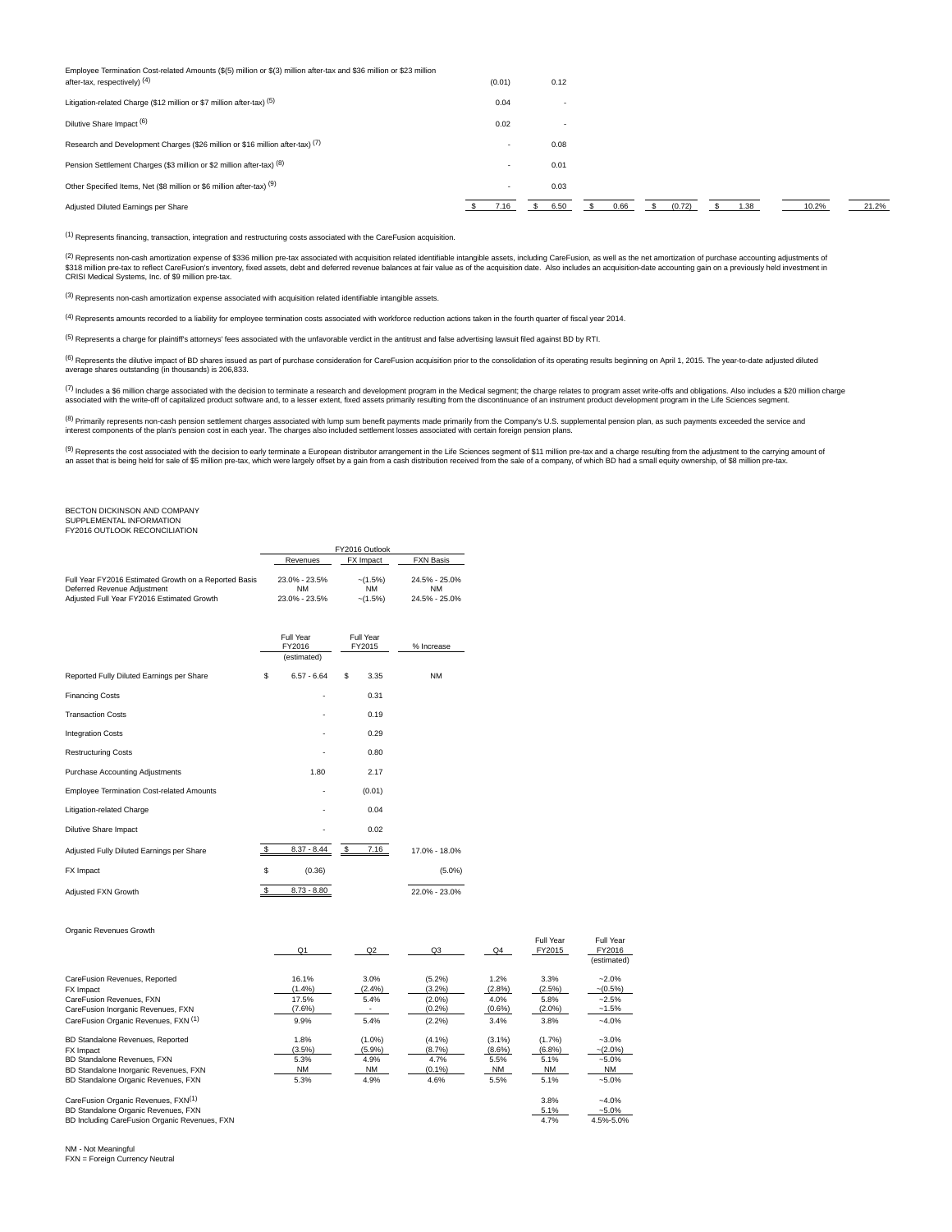| Employee Termination Cost-related Amounts (\$(5) million or \$(3) million after-tax and \$36 million or \$23 million<br>after-tax, respectively) (4) | (0.01)                   | 0.12                     |      |        |      |       |       |
|------------------------------------------------------------------------------------------------------------------------------------------------------|--------------------------|--------------------------|------|--------|------|-------|-------|
| Litigation-related Charge (\$12 million or \$7 million after-tax) (5)                                                                                | 0.04                     | $\overline{\phantom{0}}$ |      |        |      |       |       |
| Dilutive Share Impact (6)                                                                                                                            | 0.02                     | $\overline{\phantom{0}}$ |      |        |      |       |       |
| Research and Development Charges (\$26 million or \$16 million after-tax) (7)                                                                        | $\overline{\phantom{0}}$ | 0.08                     |      |        |      |       |       |
| Pension Settlement Charges (\$3 million or \$2 million after-tax) (8)                                                                                | $\overline{\phantom{a}}$ | 0.01                     |      |        |      |       |       |
| Other Specified Items, Net (\$8 million or \$6 million after-tax) (9)                                                                                | $\overline{\phantom{a}}$ | 0.03                     |      |        |      |       |       |
| Adjusted Diluted Earnings per Share                                                                                                                  | 7.16                     | 6.50                     | 0.66 | (0.72) | 1.38 | 10.2% | 21.2% |

(1) Represents financing, transaction, integration and restructuring costs associated with the CareFusion acquisition.

(2) Represents non-cash amortization expense of \$336 million pre-tax associated with acquisition related identifiable intangible assets, including CareFusion, as well as the net amortization of purchase accounting adjustme

(3) Represents non-cash amortization expense associated with acquisition related identifiable intangible assets.

(4) Represents amounts recorded to a liability for employee termination costs associated with workforce reduction actions taken in the fourth quarter of fiscal year 2014.

<sup>(5)</sup> Represents a charge for plaintiff's attorneys' fees associated with the unfavorable verdict in the antitrust and false advertising lawsuit filed against BD by RTL

(6) Represents the dilutive impact of BD shares issued as part of purchase consideration for CareFusion acquisition prior to the consolidation of its operating results beginning on April 1, 2015. The year-to-date adjusted average shares outstanding (in thousands) is 206,833.

(7) Includes a \$6 million charge associated with the decision to terminate a research and development program in the Medical segment; the charge relates to program asset write-offs and obligations. Also includes a \$20 mill

<sup>(8)</sup> Primarily represents non-cash pension settlement charges associated with lump sum benefit payments made primarily from the Company's U.S. supplemental pension plan, as such payments exceeded the service and<br>interest

<sup>(9)</sup> Represents the cost associated with the decision to early terminate a European distributor arrangement in the Life Sciences segment of \$11 million pre-tax and a charge resulting from the adjustment to the carrying am

# BECTON DICKINSON AND COMPANY

# SUPPLEMENTAL INFORMATION FY2016 OUTLOOK RECONCILIATION

|                                                                                                                                    | FY2016 Outlook                              |                                     |                                      |  |  |  |
|------------------------------------------------------------------------------------------------------------------------------------|---------------------------------------------|-------------------------------------|--------------------------------------|--|--|--|
|                                                                                                                                    | Revenues                                    | FX Impact                           | <b>FXN Basis</b>                     |  |  |  |
| Full Year FY2016 Estimated Growth on a Reported Basis<br>Deferred Revenue Adjustment<br>Adjusted Full Year FY2016 Estimated Growth | 23.0% - 23.5%<br><b>NM</b><br>23.0% - 23.5% | $-(1.5%)$<br><b>NM</b><br>$-(1.5%)$ | 24.5% - 25.0%<br>NΜ<br>24.5% - 25.0% |  |  |  |

|                                                  |               | Full Year<br>FY2016<br>(estimated) | Full Year<br>FY2015 |        | % Increase    |  |
|--------------------------------------------------|---------------|------------------------------------|---------------------|--------|---------------|--|
| Reported Fully Diluted Earnings per Share        | \$            | $6.57 - 6.64$                      | \$                  | 3.35   | <b>NM</b>     |  |
| <b>Financing Costs</b>                           |               | ٠                                  |                     | 0.31   |               |  |
| <b>Transaction Costs</b>                         |               |                                    |                     | 0.19   |               |  |
| <b>Integration Costs</b>                         |               | ٠                                  |                     | 0.29   |               |  |
| <b>Restructuring Costs</b>                       |               | ٠                                  |                     | 0.80   |               |  |
| Purchase Accounting Adjustments                  |               | 1.80                               |                     | 2.17   |               |  |
| <b>Employee Termination Cost-related Amounts</b> |               | ۰                                  |                     | (0.01) |               |  |
| Litigation-related Charge                        |               | ٠                                  |                     | 0.04   |               |  |
| Dilutive Share Impact                            |               |                                    |                     | 0.02   |               |  |
| Adjusted Fully Diluted Earnings per Share        | \$            | $8.37 - 8.44$                      | $\mathsf{s}$        | 7.16   | 17.0% - 18.0% |  |
| FX Impact                                        | \$            | (0.36)                             |                     |        | $(5.0\%)$     |  |
| Adjusted FXN Growth                              | $\mathbf{\$}$ | $8.73 - 8.80$                      |                     |        | 22.0% - 23.0% |  |

Organic Revenues Growth

|                                               | Q <sub>1</sub> | Q2        | Q3        | Q <sub>4</sub> | Full Year<br>FY2015 | Full Year<br>FY2016 |
|-----------------------------------------------|----------------|-----------|-----------|----------------|---------------------|---------------------|
|                                               |                |           |           |                |                     | (estimated)         |
| CareFusion Revenues, Reported                 | 16.1%          | 3.0%      | $(5.2\%)$ | 1.2%           | 3.3%                | $-2.0%$             |
| FX Impact                                     | (1.4%          | $(2.4\%)$ | $(3.2\%)$ | (2.8%)         | (2.5%)              | $-(0.5%)$           |
| CareFusion Revenues, FXN                      | 17.5%          | 5.4%      | $(2.0\%)$ | 4.0%           | 5.8%                | $-2.5%$             |
| CareFusion Inorganic Revenues, FXN            | $(7.6\%)$      |           | (0.2%     | $(0.6\%)$      | $(2.0\%)$           | $-1.5%$             |
| CareFusion Organic Revenues, FXN (1)          | 9.9%           | 5.4%      | (2.2%)    | 3.4%           | 3.8%                | $-4.0%$             |
| BD Standalone Revenues, Reported              | 1.8%           | $(1.0\%)$ | $(4.1\%)$ | $(3.1\%)$      | (1.7%)              | $-3.0%$             |
| FX Impact                                     | (3.5%)         | $(5.9\%)$ | (8.7%)    | $(8.6\%)$      | (6.8%)              | $-(2.0\%)$          |
| BD Standalone Revenues, FXN                   | 5.3%           | 4.9%      | 4.7%      | 5.5%           | 5.1%                | $-5.0%$             |
| BD Standalone Inorganic Revenues, FXN         | <b>NM</b>      | NM        | $(0.1\%)$ | <b>NM</b>      | NM                  | <b>NM</b>           |
| BD Standalone Organic Revenues, FXN           | 5.3%           | 4.9%      | 4.6%      | 5.5%           | 5.1%                | $-5.0%$             |
| CareFusion Organic Revenues, FXN(1)           |                |           |           |                | 3.8%                | $-4.0%$             |
| BD Standalone Organic Revenues, FXN           |                |           |           |                | 5.1%                | $-5.0%$             |
| BD Including CareFusion Organic Revenues, FXN |                |           |           |                | 4.7%                | 4.5%-5.0%           |

NM - Not Meaningful FXN = Foreign Currency Neutral